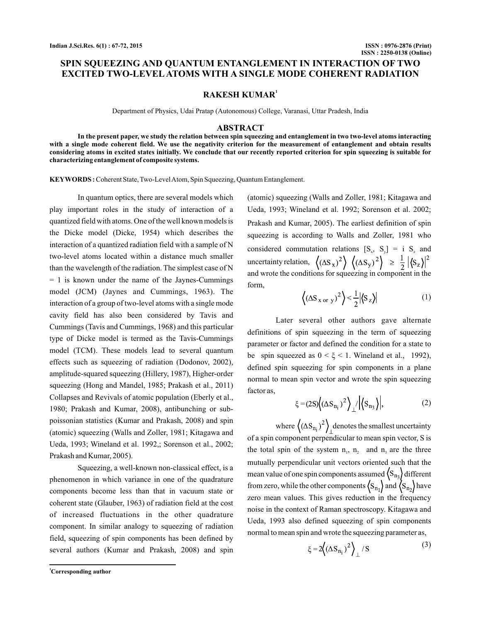# **SPIN SQUEEZING AND QUANTUM ENTANGLEMENT IN INTERACTION OF TWO EXCITED TWO-LEVEL ATOMS WITH A SINGLE MODE COHERENT RADIATION**

## **RAKESH KUMAR<sup>1</sup>**

Department of Physics, Udai Pratap (Autonomous) College, Varanasi, Uttar Pradesh, India

#### **ABSTRACT**

**In the present paper, we study the relation between spin squeezing and entanglement in two two-level atoms interacting with a single mode coherent field. We use the negativity criterion for the measurement of entanglement and obtain results considering atoms in excited states initially. We conclude that our recently reported criterion for spin squeezing is suitable for characterizing entanglement of composite systems.**

**KEYWORDS :** Coherent State, Two-Level Atom, Spin Squeezing, Quantum Entanglement.

In quantum optics, there are several models which play important roles in the study of interaction of a quantized field with atoms. One of the well known models is the Dicke model (Dicke, 1954) which describes the interaction of a quantized radiation field with a sample of N two-level atoms located within a distance much smaller than the wavelength of the radiation. The simplest case of N  $= 1$  is known under the name of the Jaynes-Cummings model (JCM) (Jaynes and Cummings, 1963). The interaction of a group of two-level atoms with a single mode cavity field has also been considered by Tavis and Cummings (Tavis and Cummings, 1968) and this particular type of Dicke model is termed as the Tavis-Cummings model (TCM). These models lead to several quantum effects such as squeezing of radiation (Dodonov, 2002), amplitude-squared squeezing (Hillery, 1987), Higher-order squeezing (Hong and Mandel, 1985; Prakash et al., 2011) Collapses and Revivals of atomic population (Eberly et al., 1980; Prakash and Kumar, 2008), antibunching or subpoissonian statistics (Kumar and Prakash, 2008) and spin (atomic) squeezing (Walls and Zoller, 1981; Kitagawa and Ueda, 1993; Wineland et al. 1992,; Sorenson et al., 2002; Prakash and Kumar, 2005).

Squeezing, a well-known non-classical effect, is a phenomenon in which variance in one of the quadrature components become less than that in vacuum state or coherent state (Glauber, 1963) of radiation field at the cost of increased fluctuations in the other quadrature component. In similar analogy to squeezing of radiation field, squeezing of spin components has been defined by several authors (Kumar and Prakash, 2008) and spin

(atomic) squeezing (Walls and Zoller, 1981; Kitagawa and Ueda, 1993; Wineland et al. 1992; Sorenson et al. 2002; Prakash and Kumar, 2005). The earliest definition of spin squeezing is according to Walls and Zoller, 1981 who considered commutation relations  $[S_x, S_y] = i S_z$  and uncertainty relation, and wrote the conditions for squeezing in component in the form,

$$
\left\langle \left( \Delta S_{\text{X or } y} \right)^2 \right\rangle < \frac{1}{2} \left| \left\langle S_z \right\rangle \right| \tag{1}
$$

Later several other authors gave alternate definitions of spin squeezing in the term of squeezing parameter or factor and defined the condition for a state to be spin squeezed as  $0 < \xi < 1$ . Wineland et al., 1992), defined spin squeezing for spin components in a plane normal to mean spin vector and wrote the spin squeezing factor as,

$$
\xi = (2S) \left( (\Delta S_{n_1})^2 \right) / \left| \left\langle S_{n_3} \right\rangle \right|, \tag{2}
$$

where  $\left\langle (\Delta S_{n_i})^2 \right\rangle$  denotes the smallest uncertainty of a spin component perpendicular to mean spin vector, S is the total spin of the system  $n_1$ ,  $n_2$  and  $n_3$  are the three mutually perpendicular unit vectors oriented such that the mean value of one spin components assumed  $\langle S_{n_3} \rangle$  different from zero, while the other components  $\left\langle S_{n_1} \right\rangle$  and  $\left\langle S_{n_2} \right\rangle$  have zero mean values. This gives reduction in the frequency noise in the context of Raman spectroscopy. Kitagawa and Ueda, 1993 also defined squeezing of spin components normal to mean spin and wrote the squeezing parameter as,

$$
\xi = 2\left(\left(\Delta S_{n_i}\right)^2\right) / S \tag{3}
$$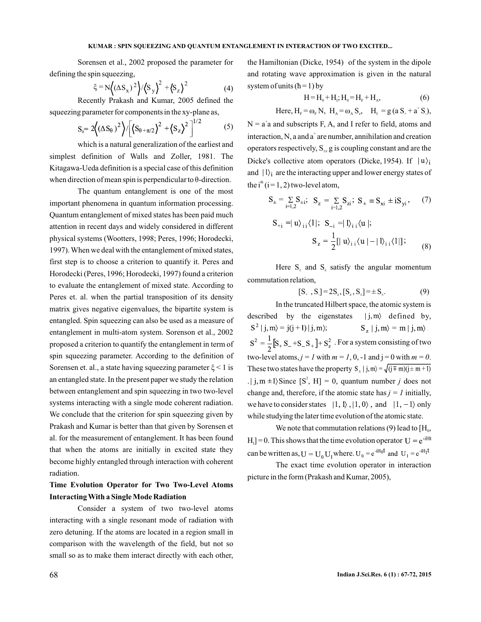Sorensen et al., 2002 proposed the parameter for defining the spin squeezing,

$$
\xi = N \left( (\Delta S_x)^2 \right) / \left\langle S_y \right\rangle^2 + \left\langle S_z \right\rangle^2
$$
 (4)  
Recently Prakash and Kumar, 2005 defined the

squeezing parameter for components in the xy-plane as,

$$
S_{\theta} = 2((\Delta S_{\theta})^2)/[(S_{\theta+\pi/2})^2 + (S_{z})^2]^{1/2}
$$
 (5)

which is a natural generalization of the earliest and simplest definition of Walls and Zoller, 1981. The Kitagawa-Ueda definition is a special case of this definition when direction of mean spin is perpendicular to  $\theta$ -direction.

The quantum entanglement is one of the most important phenomena in quantum information processing. Quantum entanglement of mixed states has been paid much attention in recent days and widely considered in different physical systems (Wootters, 1998; Peres, 1996; Horodecki, 1997).When we deal with the entanglement of mixed states, first step is to choose a criterion to quantify it. Peres and Horodecki (Peres, 1996; Horodecki, 1997) found a criterion to evaluate the entanglement of mixed state. According to Peres et. al. when the partial transposition of its density matrix gives negative eigenvalues, the bipartite system is entangled. Spin squeezing can also be used as a measure of entanglement in multi-atom system. Sorenson et al., 2002 proposed a criterion to quantify the entanglement in term of spin squeezing parameter. According to the definition of Sorensen et. al., a state having squeezing parameter  $\xi$  < 1 is an entangled state. In the present paper we study the relation between entanglement and spin squeezing in two two-level systems interacting with a single mode coherent radiation. We conclude that the criterion for spin squeezing given by Prakash and Kumar is better than that given by Sorensen et al. for the measurement of entanglement. It has been found that when the atoms are initially in excited state they become highly entangled through interaction with coherent radiation.

**Time Evolution Operator for Two Two-Level Atoms Interacting With a Single Mode Radiation**

Consider a system of two two-level atoms interacting with a single resonant mode of radiation with zero detuning. If the atoms are located in a region small in comparison with the wavelength of the field, but not so small so as to make them interact directly with each other, the Hamiltonian (Dicke, 1954) of the system in the dipole and rotating wave approximation is given in the natural system of units  $(h=1)$  by

$$
H = H_0 + H_I; H_0 = H_F + H_A,
$$
\n(6)

Here, 
$$
H_F = \omega_F N
$$
,  $H_A = \omega_A S_z$ ,  $H_I = g (a S_+ + a^+ S_*)$ ,

 $N = a<sup>†</sup>a$  and subscripts F, A, and I refer to field, atoms and interaction, N, a and  $a^+$  are number, annihilation and creation operators respectively,  $S_{1}$  g is coupling constant and are the Dicke's collective atom operators (Dicke, 1954). If  $|u\rangle_i$ and  $|1\rangle$  are the interacting upper and lower energy states of the i<sup>th</sup> (i = 1, 2) two-level atom,

$$
S_{\pm} = \sum_{i=1,2} S_{\pm i}; \ \ S_{z} = \sum_{i=1,2} S_{zi}; \ S_{\pm} \equiv S_{xi} \pm iS_{yi}, \quad (7)
$$

$$
S_{+i} = |u\rangle_{i} \langle 1|; \ S_{-i} = |1\rangle_{i} \langle u|; S_{z} = \frac{1}{2} [|u\rangle_{i} \langle u| - |1\rangle_{i} \langle 1|];
$$
 (8)

Here  $S_{\text{+}}$  and  $S_{\text{z}}$  satisfy the angular momentum commutation relation,

$$
[S_+, S_-] = 2S_z, [S_z, S_{\pm}] = \pm S_{\pm}.
$$
 (9)

 $\langle$  [j, m  $\pm$ 1) Since [S<sup>2</sup>, H] = 0, quantum number *j* does not In the truncated Hilbert space, the atomic system is described by the eigenstates  $|i, m\rangle$  defined by,  $S^2 | j, m \rangle = j(j+1) | j, m \rangle;$   $S_z | j, m \rangle = m | j, m \rangle$  $S^2 = \frac{1}{2} [S_+ S_- + S_- S_+] + S_z^2$ . For a system consisting of two two-level atoms,  $j = 1$  with  $m = 1, 0, -1$  and  $j = 0$  with  $m = 0$ . These two states have the property  $S_{+} | j, m \rangle = \sqrt{(j \mp m)(j \pm m + 1)}$ change and, therefore, if the atomic state has  $j = 1$  initially, we have to consider states  $|1, 1\rangle, |1, 0\rangle$ , and  $|1, -1\rangle$  only while studying the later time evolution of the atomic state.

We note that commutation relations  $(9)$  lead to  $[H_0,$  $H_1$ ] = 0. This shows that the time evolution operator can be written as,  $U = U_0 U_1$  where.  $U_0 = e^{-iH_0t}$  and  $U_1 = e^{-iH_1t}$ 

The exact time evolution operator in interaction picture in the form (Prakash and Kumar, 2005),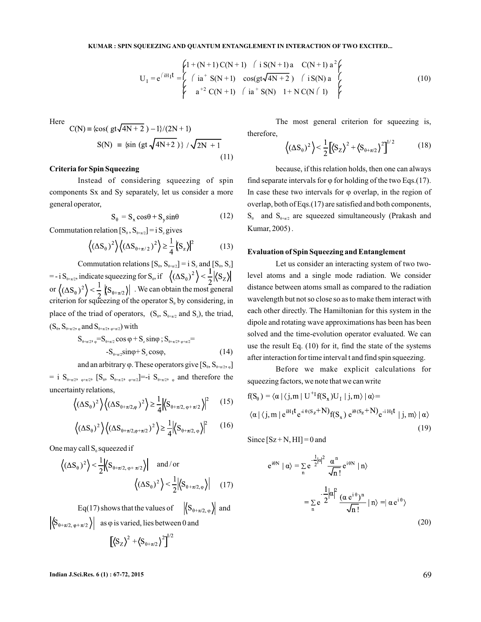$$
U_{I} = e^{iH_{I}t} = \begin{cases} 1 + (N+1)C(N+1) & \text{if } S(N+1)a & C(N+1)a^{2} \\ \text{if } i = 0 \text{if } S(N+1) & \text{else } C(N+1)a^{2} \\ \text{if } i = 0 \text{if } S(N+1) & \text{if } S(N) & 1 + NC(N+1) \end{cases} \tag{10}
$$

Here

$$
C(N) = {cos(gt\sqrt{4N + 2}) - 1}/(2N + 1)
$$
  
 
$$
S(N) = {sin (gt\sqrt{4N + 2})} / \sqrt{2N + 1}
$$
 (11)

## **Criteria for Spin Squeezing**

Instead of considering squeezing of spin components Sx and Sy separately, let us consider a more general operator,

$$
S_{\theta} = S_x \cos \theta + S_y \sin \theta \tag{12}
$$

Commutation relation  $[S_{\theta}, S_{\theta+\pi/2}] = i S_z$  gives

$$
\left\langle \left(\Delta S_{\theta}\right)^{2}\right\rangle \left\langle \left(\Delta S_{\theta+\pi/2}\right)^{2}\right\rangle \geq \frac{1}{4} \left\langle S_{z}\right\rangle \Big|^{2} \tag{13}
$$

Commutation relations  $[S_0, S_{\theta+\pi/2}] = i S_z$  and  $[S_0, S_z]$  $= -i S_{\theta + \pi/2}$ , indicate squeezing for  $S_{\theta}$ , if or  $\left\langle (\Delta S_{\alpha})^2 \right\rangle < \frac{1}{2}$   $\left\langle S_{\alpha+\pi/2} \right\rangle$ . We can obtain the most general criterion for squeezing of the operator  $S_e$  by considering, in place of the triad of operators,  $(S_{\theta}, S_{\theta+\pi/2} \text{ and } S_{z})$ , the triad,  $(S_{\theta}, S_{\theta+\pi/2}, \varphi)$  and  $S_{\theta+\pi/2}, \varphi+\pi/2)$  with θ θ+π/2  $_{0+\pi/2}$ , mureare squeezing for  $\omega_0$ z anu  $\mathsf{L}\mathsf{v}_0$ ,  $\mathsf{v}_z$ ,

$$
S_{\theta+\pi/2}, \, \varphi = S_{\theta+\pi/2} \cos \varphi + S_z \sin \varphi \, ; \, S_{\theta+\pi/2}, \, \varphi+\pi/2 = -S_{\theta+\pi/2} \sin \varphi + S_z \cos \varphi, \tag{14}
$$

and an arbitrary  $\varphi$ . These operators give  $[S_{\theta}, S_{\theta+\pi/2}, \Box_{\theta}]$ 

= i  $S_{\theta+\pi/2}$ ,  $S_{\theta}$ ,  $S_{\theta+\pi/2}$ ,  $S_{\theta+\pi/2}$ ]=-i  $S_{\theta+\pi/2}$ , and therefore the uncertainty relations,

$$
\left\langle (\Delta S_{\theta})^2 \right\rangle \left\langle (\Delta S_{\theta + \pi/2, \varphi})^2 \right\rangle \ge \frac{1}{4} \left| \left\langle S_{\theta + \pi/2, \varphi + \pi/2} \right\rangle \right|^2 \tag{15}
$$

$$
\left\langle (\Delta S_{\theta})^2 \right\rangle \left\langle (\Delta S_{\theta + \pi/2, \varphi + \pi/2})^2 \right\rangle \ge \frac{1}{4} \left| \left\langle S_{\theta + \pi/2, \varphi} \right\rangle \right|^2 \tag{16}
$$

One may call  $S_0$  squeezed if

$$
\left\langle (\Delta S_{\theta})^2 \right\rangle < \frac{1}{2} \left| \left\langle S_{\theta + \pi/2, \varphi + \pi/2} \right\rangle \right| \quad \text{and/or} \quad \left\langle (\Delta S_{\theta})^2 \right\rangle < \frac{1}{2} \left| \left\langle S_{\theta + \pi/2, \varphi} \right\rangle \right| \quad (17)
$$

Eq(17) shows that the values of  $\left\langle S_{\theta+\pi/2,\varphi}\right\rangle$  and  $|\langle S_{\theta+\pi/2,\varphi+\pi/2}\rangle|$  as  $\varphi$  is varied, lies between 0 and  $\left[\left\langle S_z \right\rangle^2 + \left\langle S_{\theta + \pi/2} \right\rangle^2 \right]^{1/2}$ 

The most general criterion for squeezing is, therefore,

$$
\left\langle (\Delta S_{\theta})^2 \right\rangle < \frac{1}{2} \left[ \left\langle S_z \right\rangle^2 + \left\langle S_{\theta + \pi/2} \right\rangle^2 \right]^{1/2} \tag{18}
$$

because, if this relation holds, then one can always find separate intervals for  $\varphi$  for holding of the two Eqs.(17). In case these two intervals for  $\varphi$  overlap, in the region of overlap, both of Eqs.(17) are satisfied and both components,  $S_{\theta}$  and  $S_{\theta+\pi/2}$  are squeezed simultaneously (Prakash and Kumar, 2005) .

#### **Evaluation of Spin Squeezing and Entanglement**

Let us consider an interacting system of two twolevel atoms and a single mode radiation. We consider distance between atoms small as compared to the radiation wavelength but not so close so as to make them interact with each other directly. The Hamiltonian for this system in the dipole and rotating wave approximations has been has been solved and the time-evolution operator evaluated. We can use the result Eq. (10) for it, find the state of the systems after interaction for time interval t and find spin squeezing.

Before we make explicit calculations for squeezing factors, we note that we can write

$$
f(S_0) = \langle \alpha | \langle j, m | U^{+1} f(S_x) U_1 | j, m \rangle | \alpha \rangle =
$$
  
 
$$
\langle \alpha | \langle j, m | e^{iH_1 t} e^{i\theta (S_z + N)} f(S_x) e^{i\theta (S_z + N)} e^{-iH_1 t} | j, m \rangle | \alpha \rangle
$$
  
(19)

Since  $[Sz + N, HI] = 0$  and

$$
e^{i\theta N} | \alpha \rangle = \sum_{n} e^{-\frac{1}{2}|\alpha|^2} \frac{\alpha^n}{\sqrt{n!}} e^{i\theta N} |n \rangle
$$
  

$$
= \sum_{n} e^{-\frac{1}{2}|\alpha|^2} \frac{(\alpha e^{i\theta})^n}{\sqrt{n!}} |n \rangle = |\alpha e^{i\theta} \rangle
$$
(20)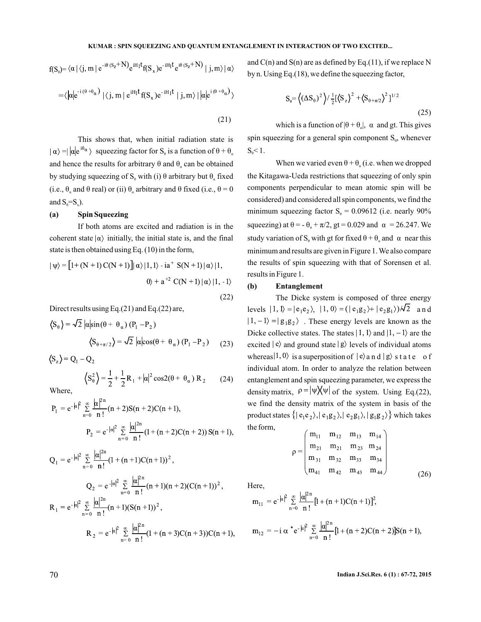#### **KUMAR : SPIN SQUEEZING AND QUANTUM ENTANGLEMENT IN INTERACTION OF TWO EXCITED...**

$$
f(S_0) = \langle \alpha | \langle j, m | e^{-i\theta (S_Z + N)} e^{iH_1t} f(S_x) e^{-iH_1t} e^{i\theta (S_Z + N)} | j, m \rangle | \alpha \rangle
$$

$$
= \langle |\alpha| e^{-i(\theta + \theta_{\alpha})} | \langle j, m | e^{iH_1 t} f(S_x) e^{-iH_1 t} | j, m \rangle | |\alpha| e^{i(\theta + \theta_{\alpha})} \rangle
$$
\n(21)

This shows that, when initial radiation state is squeezing factor for  $\mathbf{S}_{\theta}$  is a function of  $\theta + \theta_{\alpha}$ and hence the results for arbitrary  $\theta$  and  $\theta_{\alpha}$  can be obtained by studying squeezing of  $S_0$  with (i)  $\theta$  arbitrary but  $\theta_a$  fixed and  $S_{\theta} = S_{\mathbf{x}}$ ). (i.e.,  $\theta_a$  and  $\theta$  real) or (ii)  $\theta_a$  arbitrary and  $\theta$  fixed (i.e.,  $\theta = 0$ 

## **(a) Spin Squeezing**

If both atoms are excited and radiation is in the coherent state  $|\alpha\rangle$  initially, the initial state is, and the final state is then obtained using Eq. (10) in the form,

$$
|\psi\rangle = [1 + (N + 1) C(N + 1)]|\alpha\rangle|1, 1\rangle - ia^{+} S(N + 1)|\alpha\rangle|1, 0\rangle + a^{+2} C(N + 1)|\alpha\rangle|1, -1\rangle
$$
\n(22)

Direct results using Eq.(21) and Eq.(22) are,

$$
\langle S_{\theta} \rangle = \sqrt{2} \left| \alpha \right| \sin(\theta + \theta_{\alpha}) (P_1 - P_2)
$$

$$
\langle S_{\theta + \pi/2} \rangle = \sqrt{2} \left| \alpha \right| \cos(\theta + \theta_{\alpha}) (P_1 - P_2) \tag{23}
$$

$$
\langle S_z \rangle = Q_1 - Q_2
$$
  

$$
\langle S_\theta^2 \rangle = \frac{1}{2} + \frac{1}{2} R_1 + |\alpha|^2 \cos 2(\theta + \theta_\alpha) R_2
$$

Where,

$$
P_1 = e^{-\left| \alpha \right|^2} \sum_{n=0}^{\infty} \frac{\left| \alpha \right|^{2n}}{n!} (n+2) S(n+2) C(n+1),
$$
  

$$
P_2 = e^{-\left| \alpha \right|^2} \sum_{n=0}^{\infty} \frac{\left| \alpha \right|^{2n}}{n!} (1 + (n+2) C(n+2)) S(n+1),
$$

$$
Q_{1} = e^{-|\alpha|^{2}} \sum_{n=0}^{\infty} \frac{|\alpha|^{2n}}{n!} (1 + (n+1)C(n+1))^{2},
$$
  
\n
$$
Q_{2} = e^{-|\alpha|^{2}} \sum_{n=0}^{\infty} \frac{|\alpha|^{2n}}{n!} (n+1)(n+2)(C(n+1))^{2},
$$
  
\n
$$
R_{1} = e^{-|\alpha|^{2}} \sum_{n=0}^{\infty} \frac{|\alpha|^{2n}}{n!} (n+1)(S(n+1))^{2},
$$
  
\n
$$
R_{2} = e^{-|\alpha|^{2}} \sum_{n=0}^{\infty} \frac{|\alpha|^{2n}}{n!} (1 + (n+3)C(n+3))C(n+1)
$$

and  $C(n)$  and  $S(n)$  are as defined by Eq.(11), if we replace N by n. Using Eq.(18), we define the squeezing factor,

$$
S_{\theta} = \left\langle (\Delta S_{\theta})^2 \right\rangle / \frac{1}{2} [\left\langle S_z \right\rangle^2 + \left\langle S_{\theta + \pi/2} \right\rangle^2]^{1/2}
$$
\n(25)

which is a function of  $|\theta + \theta_{\alpha}|$ ,  $\alpha$  and gt. This gives spin squeezing for a general spin component  $S_{\theta}$ , whenever  $S_{\theta} < 1$ .

When we varied even  $\theta + \theta_a$  (i.e. when we dropped the Kitagawa-Ueda restrictions that squeezing of only spin components perpendicular to mean atomic spin will be considered) and considered all spin components, we find the minimum squeezing factor  $S_e = 0.09612$  (i.e. nearly 90% squeezing) at  $\theta = -\theta_a + \pi/2$ , gt = 0.029 and  $\alpha = 26.247$ . We study variation of  $S_0$  with gt for fixed  $\theta + \theta_\alpha$  and  $\alpha$  near this minimum and results are given in Figure 1.We also compare the results of spin squeezing with that of Sorensen et al. results in Figure 1. α and<br>bonen<br>e. wh<br>teezin<br>tomid<br>ponen<br>12 (i.  $S_0$ ,<br>n w<sub>i</sub> of<br>gpi:<br>s, w<br>= 2(d α

## **(b) Entanglement**

The Dicke system is composed of three energy levels  $|1, 1\rangle = |e_1e_2\rangle$ ,  $|1, 0\rangle = (|e_1g_2\rangle + |e_2g_1\rangle)/\sqrt{2}$  and  $|1,-1\rangle = |g_1g_2\rangle$ . These energy levels are known as the Dicke collective states. The states  $|1, 1\rangle$  and  $|1, -1\rangle$  are the excited  $\ket{e}$  and ground state  $\ket{g}$  levels of individual atoms whereas  $|1, 0 \rangle$  is a superposition of  $|e\rangle$  and  $|g\rangle$  state of individual atom. In order to analyze the relation between entanglement and spin squeezing parameter, we express the density matrix,  $\rho = |\Psi| \sqrt{\Psi}$  of the system. Using Eq.(22), we find the density matrix of the system in basis of the product states  $\{|e_1e_2\rangle, |e_1g_2\rangle, |e_2g_1\rangle, |g_1g_2\rangle\}$  which takes the form,

$$
\rho = \begin{pmatrix}\nm_{11} & m_{12} & m_{13} & m_{14} \\
m_{21} & m_{21} & m_{23} & m_{24} \\
m_{31} & m_{32} & m_{33} & m_{34} \\
m_{41} & m_{42} & m_{43} & m_{44}\n\end{pmatrix}
$$
\n(26)

Here,

(24)

$$
m_{11} = e^{-|\alpha|^2} \sum_{n=0}^{\infty} \frac{|\alpha|^{2n}}{n!} [1 + (n+1)C(n+1)]^2,
$$
  

$$
m_{12} = -i \alpha^* e^{-|\alpha|^2} \sum_{n=0}^{\infty} \frac{|\alpha|^{2n}}{n!} [1 + (n+2)C(n+2)]S(n+1),
$$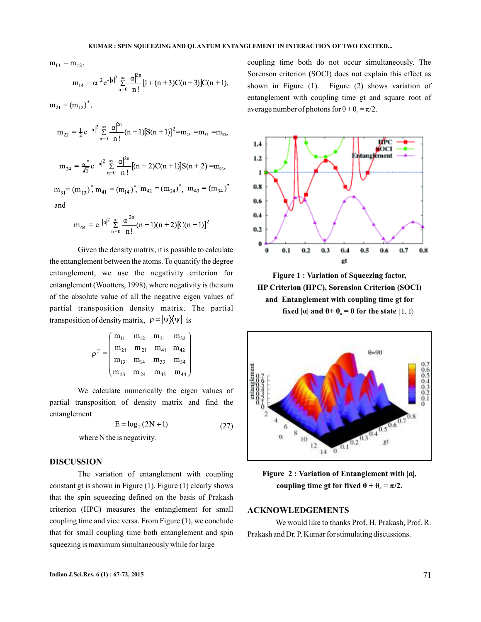$m_{13} = m_{12}$ ,  $m_{14} = \alpha^2 e^{-|\alpha|^2} \sum_{n=0}^{\infty} \frac{|\alpha|^{2n}}{n!} [1 + (n+3)C(n+3)]C(n+1),$ 

 $m_{21} = (m_{12})^*$ ,

$$
m_{22} = \frac{1}{2} e^{-|\alpha|^2} \sum_{n=0}^{\infty} \frac{|\alpha|^{2n}}{n!} (n+1) [S(n+1)]^2 = m_{23} = m_{32} = m_{33}
$$

$$
m_{24} = \frac{\alpha^*}{\sqrt{2}} e^{-|\alpha|^2} \sum_{n=0}^{\infty} \frac{|\alpha|^{2n}}{n!} [(n+2)C(n+1)]S(n+2) = m_{23},
$$

 $m_{31} = (m_{12})^*$ ,  $m_{41} = (m_{14})^*$ ,  $m_{42} = (m_{24})^*$ ,  $m_{43} = (m_{34})^*$ and

$$
m_{44} = e^{-|\alpha|^2} \sum_{n=0}^{\infty} \frac{|\alpha|^{2n}}{n!} (n+1)(n+2) [C(n+1)]^2
$$

Given the density matrix, it is possible to calculate the entanglement between the atoms. To quantify the degree entanglement, we use the negativity criterion for entanglement (Wootters, 1998), where negativity is the sum of the absolute value of all the negative eigen values of partial transposition density matrix. The partial transposition of density matrix,  $\rho = |\psi| |\psi|$  is

$$
\rho^{T} = \begin{pmatrix}\nm_{11} & m_{12} & m_{31} & m_{32} \\
m_{21} & m_{21} & m_{41} & m_{42} \\
m_{13} & m_{14} & m_{33} & m_{34} \\
m_{23} & m_{24} & m_{43} & m_{44}\n\end{pmatrix}
$$

We calculate numerically the eigen values of partial transposition of density matrix and find the entanglement

$$
E = \log_2(2N + 1) \tag{27}
$$

where N the is negativity.

## **DISCUSSION**

The variation of entanglement with coupling constant gt is shown in Figure  $(1)$ . Figure  $(1)$  clearly shows that the spin squeezing defined on the basis of Prakash criterion (HPC) measures the entanglement for small coupling time and vice versa. From Figure  $(1)$ , we conclude that for small coupling time both entanglement and spin squeezing is maximum simultaneously while for large

coupling time both do not occur simultaneously. The Sorenson criterion (SOCI) does not explain this effect as shown in Figure  $(1)$ . Figure  $(2)$  shows variation of entanglement with coupling time gt and square root of average number of photons for  $\theta + \theta_{\alpha} = \pi/2$ .



**Figure 1 : Variation of Squeezing factor, fixed**  $|\alpha|$  and  $\theta$  +  $\theta$ <sub>*a*</sub> = 0 for the state  $|1, 1\rangle$ **HP Criterion (HPC), Sorension Criterion (SOCI) and Entanglement with coupling time gt for**



**Figure 2 : Variation of Entanglement with |α|, coupling time gt for fixed**  $\theta + \theta_a = \pi/2$ **.** 

## **ACKNOWLEDGEMENTS**

We would like to thanks Prof. H. Prakash, Prof. R. Prakash and Dr. P. Kumar for stimulating discussions.